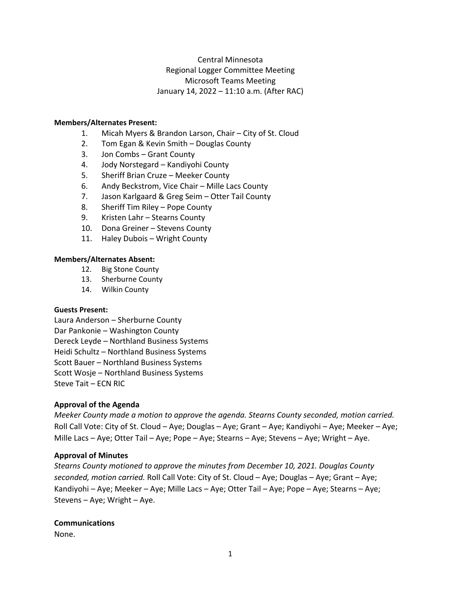# Central Minnesota Regional Logger Committee Meeting Microsoft Teams Meeting January 14, 2022 – 11:10 a.m. (After RAC)

## **Members/Alternates Present:**

- 1. Micah Myers & Brandon Larson, Chair City of St. Cloud
- 2. Tom Egan & Kevin Smith Douglas County
- 3. Jon Combs Grant County
- 4. Jody Norstegard Kandiyohi County
- 5. Sheriff Brian Cruze Meeker County
- 6. Andy Beckstrom, Vice Chair Mille Lacs County
- 7. Jason Karlgaard & Greg Seim Otter Tail County
- 8. Sheriff Tim Riley Pope County
- 9. Kristen Lahr Stearns County
- 10. Dona Greiner Stevens County
- 11. Haley Dubois Wright County

## **Members/Alternates Absent:**

- 12. Big Stone County
- 13. Sherburne County
- 14. Wilkin County

## **Guests Present:**

Laura Anderson – Sherburne County Dar Pankonie – Washington County Dereck Leyde – Northland Business Systems Heidi Schultz – Northland Business Systems Scott Bauer – Northland Business Systems Scott Wosje – Northland Business Systems Steve Tait – ECN RIC

## **Approval of the Agenda**

*Meeker County made a motion to approve the agenda. Stearns County seconded, motion carried.*  Roll Call Vote: City of St. Cloud – Aye; Douglas – Aye; Grant – Aye; Kandiyohi – Aye; Meeker – Aye; Mille Lacs – Aye; Otter Tail – Aye; Pope – Aye; Stearns – Aye; Stevens – Aye; Wright – Aye.

## **Approval of Minutes**

*Stearns County motioned to approve the minutes from December 10, 2021. Douglas County seconded, motion carried.* Roll Call Vote: City of St. Cloud – Aye; Douglas – Aye; Grant – Aye; Kandiyohi – Aye; Meeker – Aye; Mille Lacs – Aye; Otter Tail – Aye; Pope – Aye; Stearns – Aye; Stevens – Aye; Wright – Aye.

## **Communications**

None.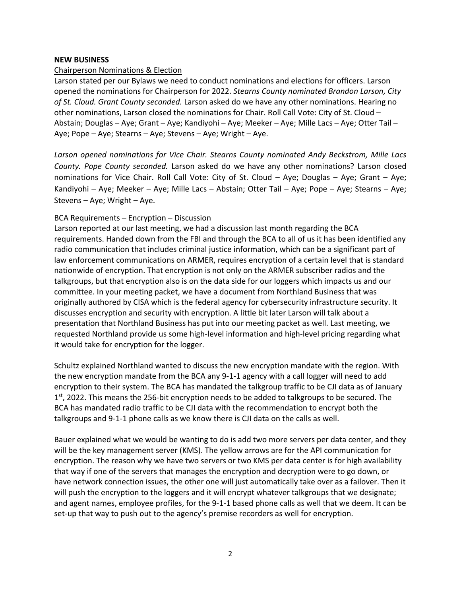# **NEW BUSINESS**

# Chairperson Nominations & Election

Larson stated per our Bylaws we need to conduct nominations and elections for officers. Larson opened the nominations for Chairperson for 2022. *Stearns County nominated Brandon Larson, City of St. Cloud. Grant County seconded.* Larson asked do we have any other nominations. Hearing no other nominations, Larson closed the nominations for Chair. Roll Call Vote: City of St. Cloud – Abstain; Douglas – Aye; Grant – Aye; Kandiyohi – Aye; Meeker – Aye; Mille Lacs – Aye; Otter Tail – Aye; Pope – Aye; Stearns – Aye; Stevens – Aye; Wright – Aye.

*Larson opened nominations for Vice Chair. Stearns County nominated Andy Beckstrom, Mille Lacs County. Pope County seconded.* Larson asked do we have any other nominations? Larson closed nominations for Vice Chair. Roll Call Vote: City of St. Cloud – Aye; Douglas – Aye; Grant – Aye; Kandiyohi – Aye; Meeker – Aye; Mille Lacs – Abstain; Otter Tail – Aye; Pope – Aye; Stearns – Aye; Stevens – Aye; Wright – Aye.

# BCA Requirements – Encryption – Discussion

Larson reported at our last meeting, we had a discussion last month regarding the BCA requirements. Handed down from the FBI and through the BCA to all of us it has been identified any radio communication that includes criminal justice information, which can be a significant part of law enforcement communications on ARMER, requires encryption of a certain level that is standard nationwide of encryption. That encryption is not only on the ARMER subscriber radios and the talkgroups, but that encryption also is on the data side for our loggers which impacts us and our committee. In your meeting packet, we have a document from Northland Business that was originally authored by CISA which is the federal agency for cybersecurity infrastructure security. It discusses encryption and security with encryption. A little bit later Larson will talk about a presentation that Northland Business has put into our meeting packet as well. Last meeting, we requested Northland provide us some high-level information and high-level pricing regarding what it would take for encryption for the logger.

Schultz explained Northland wanted to discuss the new encryption mandate with the region. With the new encryption mandate from the BCA any 9-1-1 agency with a call logger will need to add encryption to their system. The BCA has mandated the talkgroup traffic to be CJI data as of January 1<sup>st</sup>, 2022. This means the 256-bit encryption needs to be added to talkgroups to be secured. The BCA has mandated radio traffic to be CJI data with the recommendation to encrypt both the talkgroups and 9-1-1 phone calls as we know there is CJI data on the calls as well.

Bauer explained what we would be wanting to do is add two more servers per data center, and they will be the key management server (KMS). The yellow arrows are for the API communication for encryption. The reason why we have two servers or two KMS per data center is for high availability that way if one of the servers that manages the encryption and decryption were to go down, or have network connection issues, the other one will just automatically take over as a failover. Then it will push the encryption to the loggers and it will encrypt whatever talkgroups that we designate; and agent names, employee profiles, for the 9-1-1 based phone calls as well that we deem. It can be set-up that way to push out to the agency's premise recorders as well for encryption.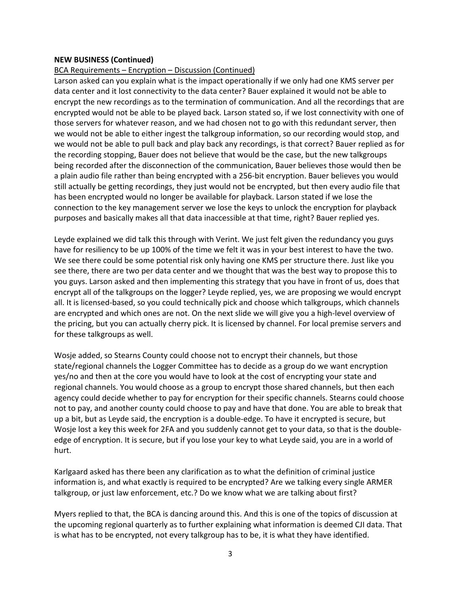# BCA Requirements – Encryption – Discussion (Continued)

Larson asked can you explain what is the impact operationally if we only had one KMS server per data center and it lost connectivity to the data center? Bauer explained it would not be able to encrypt the new recordings as to the termination of communication. And all the recordings that are encrypted would not be able to be played back. Larson stated so, if we lost connectivity with one of those servers for whatever reason, and we had chosen not to go with this redundant server, then we would not be able to either ingest the talkgroup information, so our recording would stop, and we would not be able to pull back and play back any recordings, is that correct? Bauer replied as for the recording stopping, Bauer does not believe that would be the case, but the new talkgroups being recorded after the disconnection of the communication, Bauer believes those would then be a plain audio file rather than being encrypted with a 256-bit encryption. Bauer believes you would still actually be getting recordings, they just would not be encrypted, but then every audio file that has been encrypted would no longer be available for playback. Larson stated if we lose the connection to the key management server we lose the keys to unlock the encryption for playback purposes and basically makes all that data inaccessible at that time, right? Bauer replied yes.

Leyde explained we did talk this through with Verint. We just felt given the redundancy you guys have for resiliency to be up 100% of the time we felt it was in your best interest to have the two. We see there could be some potential risk only having one KMS per structure there. Just like you see there, there are two per data center and we thought that was the best way to propose this to you guys. Larson asked and then implementing this strategy that you have in front of us, does that encrypt all of the talkgroups on the logger? Leyde replied, yes, we are proposing we would encrypt all. It is licensed-based, so you could technically pick and choose which talkgroups, which channels are encrypted and which ones are not. On the next slide we will give you a high-level overview of the pricing, but you can actually cherry pick. It is licensed by channel. For local premise servers and for these talkgroups as well.

Wosje added, so Stearns County could choose not to encrypt their channels, but those state/regional channels the Logger Committee has to decide as a group do we want encryption yes/no and then at the core you would have to look at the cost of encrypting your state and regional channels. You would choose as a group to encrypt those shared channels, but then each agency could decide whether to pay for encryption for their specific channels. Stearns could choose not to pay, and another county could choose to pay and have that done. You are able to break that up a bit, but as Leyde said, the encryption is a double-edge. To have it encrypted is secure, but Wosje lost a key this week for 2FA and you suddenly cannot get to your data, so that is the doubleedge of encryption. It is secure, but if you lose your key to what Leyde said, you are in a world of hurt.

Karlgaard asked has there been any clarification as to what the definition of criminal justice information is, and what exactly is required to be encrypted? Are we talking every single ARMER talkgroup, or just law enforcement, etc.? Do we know what we are talking about first?

Myers replied to that, the BCA is dancing around this. And this is one of the topics of discussion at the upcoming regional quarterly as to further explaining what information is deemed CJI data. That is what has to be encrypted, not every talkgroup has to be, it is what they have identified.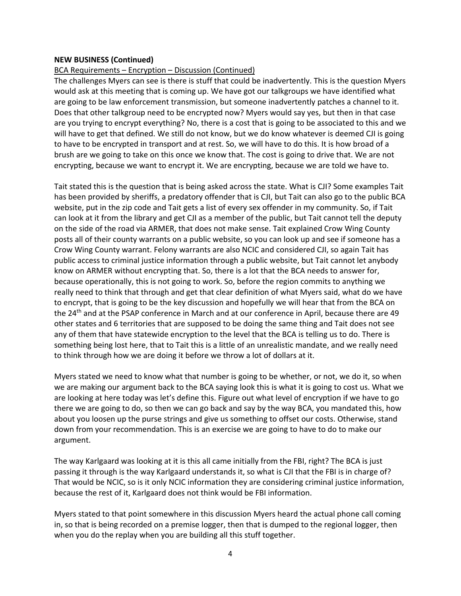# BCA Requirements – Encryption – Discussion (Continued)

The challenges Myers can see is there is stuff that could be inadvertently. This is the question Myers would ask at this meeting that is coming up. We have got our talkgroups we have identified what are going to be law enforcement transmission, but someone inadvertently patches a channel to it. Does that other talkgroup need to be encrypted now? Myers would say yes, but then in that case are you trying to encrypt everything? No, there is a cost that is going to be associated to this and we will have to get that defined. We still do not know, but we do know whatever is deemed CJI is going to have to be encrypted in transport and at rest. So, we will have to do this. It is how broad of a brush are we going to take on this once we know that. The cost is going to drive that. We are not encrypting, because we want to encrypt it. We are encrypting, because we are told we have to.

Tait stated this is the question that is being asked across the state. What is CJI? Some examples Tait has been provided by sheriffs, a predatory offender that is CJI, but Tait can also go to the public BCA website, put in the zip code and Tait gets a list of every sex offender in my community. So, if Tait can look at it from the library and get CJI as a member of the public, but Tait cannot tell the deputy on the side of the road via ARMER, that does not make sense. Tait explained Crow Wing County posts all of their county warrants on a public website, so you can look up and see if someone has a Crow Wing County warrant. Felony warrants are also NCIC and considered CJI, so again Tait has public access to criminal justice information through a public website, but Tait cannot let anybody know on ARMER without encrypting that. So, there is a lot that the BCA needs to answer for, because operationally, this is not going to work. So, before the region commits to anything we really need to think that through and get that clear definition of what Myers said, what do we have to encrypt, that is going to be the key discussion and hopefully we will hear that from the BCA on the 24<sup>th</sup> and at the PSAP conference in March and at our conference in April, because there are 49 other states and 6 territories that are supposed to be doing the same thing and Tait does not see any of them that have statewide encryption to the level that the BCA is telling us to do. There is something being lost here, that to Tait this is a little of an unrealistic mandate, and we really need to think through how we are doing it before we throw a lot of dollars at it.

Myers stated we need to know what that number is going to be whether, or not, we do it, so when we are making our argument back to the BCA saying look this is what it is going to cost us. What we are looking at here today was let's define this. Figure out what level of encryption if we have to go there we are going to do, so then we can go back and say by the way BCA, you mandated this, how about you loosen up the purse strings and give us something to offset our costs. Otherwise, stand down from your recommendation. This is an exercise we are going to have to do to make our argument.

The way Karlgaard was looking at it is this all came initially from the FBI, right? The BCA is just passing it through is the way Karlgaard understands it, so what is CJI that the FBI is in charge of? That would be NCIC, so is it only NCIC information they are considering criminal justice information, because the rest of it, Karlgaard does not think would be FBI information.

Myers stated to that point somewhere in this discussion Myers heard the actual phone call coming in, so that is being recorded on a premise logger, then that is dumped to the regional logger, then when you do the replay when you are building all this stuff together.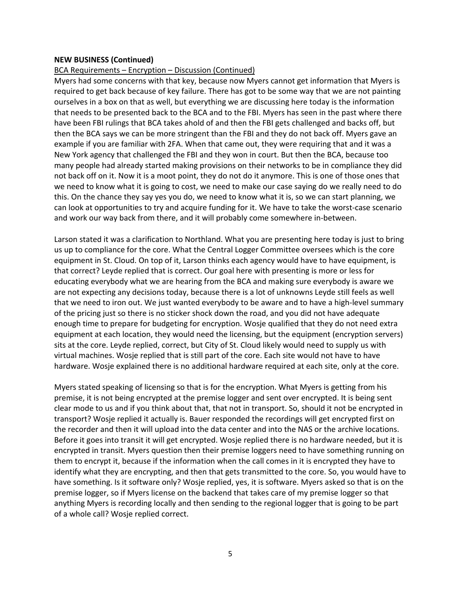#### BCA Requirements – Encryption – Discussion (Continued)

Myers had some concerns with that key, because now Myers cannot get information that Myers is required to get back because of key failure. There has got to be some way that we are not painting ourselves in a box on that as well, but everything we are discussing here today is the information that needs to be presented back to the BCA and to the FBI. Myers has seen in the past where there have been FBI rulings that BCA takes ahold of and then the FBI gets challenged and backs off, but then the BCA says we can be more stringent than the FBI and they do not back off. Myers gave an example if you are familiar with 2FA. When that came out, they were requiring that and it was a New York agency that challenged the FBI and they won in court. But then the BCA, because too many people had already started making provisions on their networks to be in compliance they did not back off on it. Now it is a moot point, they do not do it anymore. This is one of those ones that we need to know what it is going to cost, we need to make our case saying do we really need to do this. On the chance they say yes you do, we need to know what it is, so we can start planning, we can look at opportunities to try and acquire funding for it. We have to take the worst-case scenario and work our way back from there, and it will probably come somewhere in-between.

Larson stated it was a clarification to Northland. What you are presenting here today is just to bring us up to compliance for the core. What the Central Logger Committee oversees which is the core equipment in St. Cloud. On top of it, Larson thinks each agency would have to have equipment, is that correct? Leyde replied that is correct. Our goal here with presenting is more or less for educating everybody what we are hearing from the BCA and making sure everybody is aware we are not expecting any decisions today, because there is a lot of unknowns Leyde still feels as well that we need to iron out. We just wanted everybody to be aware and to have a high-level summary of the pricing just so there is no sticker shock down the road, and you did not have adequate enough time to prepare for budgeting for encryption. Wosje qualified that they do not need extra equipment at each location, they would need the licensing, but the equipment (encryption servers) sits at the core. Leyde replied, correct, but City of St. Cloud likely would need to supply us with virtual machines. Wosje replied that is still part of the core. Each site would not have to have hardware. Wosje explained there is no additional hardware required at each site, only at the core.

Myers stated speaking of licensing so that is for the encryption. What Myers is getting from his premise, it is not being encrypted at the premise logger and sent over encrypted. It is being sent clear mode to us and if you think about that, that not in transport. So, should it not be encrypted in transport? Wosje replied it actually is. Bauer responded the recordings will get encrypted first on the recorder and then it will upload into the data center and into the NAS or the archive locations. Before it goes into transit it will get encrypted. Wosje replied there is no hardware needed, but it is encrypted in transit. Myers question then their premise loggers need to have something running on them to encrypt it, because if the information when the call comes in it is encrypted they have to identify what they are encrypting, and then that gets transmitted to the core. So, you would have to have something. Is it software only? Wosje replied, yes, it is software. Myers asked so that is on the premise logger, so if Myers license on the backend that takes care of my premise logger so that anything Myers is recording locally and then sending to the regional logger that is going to be part of a whole call? Wosje replied correct.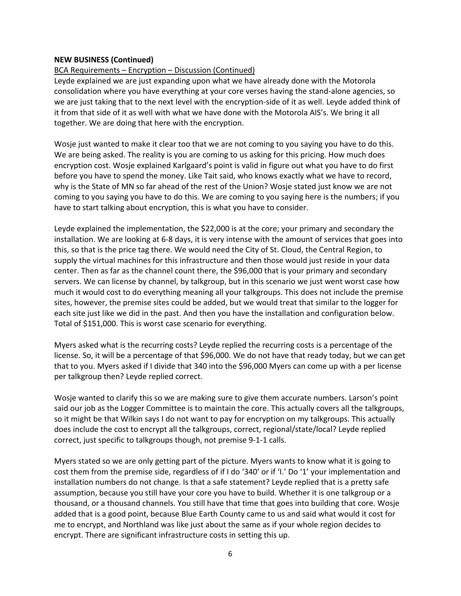# BCA Requirements – Encryption – Discussion (Continued)

Leyde explained we are just expanding upon what we have already done with the Motorola consolidation where you have everything at your core verses having the stand-alone agencies, so we are just taking that to the next level with the encryption-side of it as well. Leyde added think of it from that side of it as well with what we have done with the Motorola AIS's. We bring it all together. We are doing that here with the encryption.

Wosje just wanted to make it clear too that we are not coming to you saying you have to do this. We are being asked. The reality is you are coming to us asking for this pricing. How much does encryption cost. Wosje explained Karlgaard's point is valid in figure out what you have to do first before you have to spend the money. Like Tait said, who knows exactly what we have to record, why is the State of MN so far ahead of the rest of the Union? Wosje stated just know we are not coming to you saying you have to do this. We are coming to you saying here is the numbers; if you have to start talking about encryption, this is what you have to consider.

Leyde explained the implementation, the \$22,000 is at the core; your primary and secondary the installation. We are looking at 6-8 days, it is very intense with the amount of services that goes into this, so that is the price tag there. We would need the City of St. Cloud, the Central Region, to supply the virtual machines for this infrastructure and then those would just reside in your data center. Then as far as the channel count there, the \$96,000 that is your primary and secondary servers. We can license by channel, by talkgroup, but in this scenario we just went worst case how much it would cost to do everything meaning all your talkgroups. This does not include the premise sites, however, the premise sites could be added, but we would treat that similar to the logger for each site just like we did in the past. And then you have the installation and configuration below. Total of \$151,000. This is worst case scenario for everything.

Myers asked what is the recurring costs? Leyde replied the recurring costs is a percentage of the license. So, it will be a percentage of that \$96,000. We do not have that ready today, but we can get that to you. Myers asked if I divide that 340 into the \$96,000 Myers can come up with a per license per talkgroup then? Leyde replied correct.

Wosje wanted to clarify this so we are making sure to give them accurate numbers. Larson's point said our job as the Logger Committee is to maintain the core. This actually covers all the talkgroups, so it might be that Wilkin says I do not want to pay for encryption on my talkgroups. This actually does include the cost to encrypt all the talkgroups, correct, regional/state/local? Leyde replied correct, just specific to talkgroups though, not premise 9-1-1 calls.

Myers stated so we are only getting part of the picture. Myers wants to know what it is going to cost them from the premise side, regardless of if I do '340' or if 'I.' Do '1' your implementation and installation numbers do not change. Is that a safe statement? Leyde replied that is a pretty safe assumption, because you still have your core you have to build. Whether it is one talkgroup or a thousand, or a thousand channels. You still have that time that goes into building that core. Wosje added that is a good point, because Blue Earth County came to us and said what would it cost for me to encrypt, and Northland was like just about the same as if your whole region decides to encrypt. There are significant infrastructure costs in setting this up.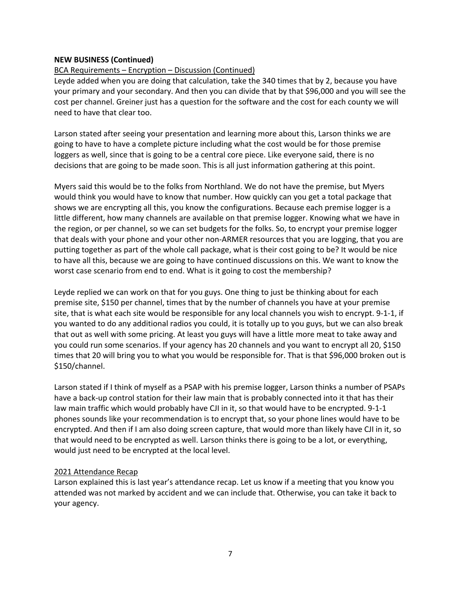# BCA Requirements – Encryption – Discussion (Continued)

Leyde added when you are doing that calculation, take the 340 times that by 2, because you have your primary and your secondary. And then you can divide that by that \$96,000 and you will see the cost per channel. Greiner just has a question for the software and the cost for each county we will need to have that clear too.

Larson stated after seeing your presentation and learning more about this, Larson thinks we are going to have to have a complete picture including what the cost would be for those premise loggers as well, since that is going to be a central core piece. Like everyone said, there is no decisions that are going to be made soon. This is all just information gathering at this point.

Myers said this would be to the folks from Northland. We do not have the premise, but Myers would think you would have to know that number. How quickly can you get a total package that shows we are encrypting all this, you know the configurations. Because each premise logger is a little different, how many channels are available on that premise logger. Knowing what we have in the region, or per channel, so we can set budgets for the folks. So, to encrypt your premise logger that deals with your phone and your other non-ARMER resources that you are logging, that you are putting together as part of the whole call package, what is their cost going to be? It would be nice to have all this, because we are going to have continued discussions on this. We want to know the worst case scenario from end to end. What is it going to cost the membership?

Leyde replied we can work on that for you guys. One thing to just be thinking about for each premise site, \$150 per channel, times that by the number of channels you have at your premise site, that is what each site would be responsible for any local channels you wish to encrypt. 9-1-1, if you wanted to do any additional radios you could, it is totally up to you guys, but we can also break that out as well with some pricing. At least you guys will have a little more meat to take away and you could run some scenarios. If your agency has 20 channels and you want to encrypt all 20, \$150 times that 20 will bring you to what you would be responsible for. That is that \$96,000 broken out is \$150/channel.

Larson stated if I think of myself as a PSAP with his premise logger, Larson thinks a number of PSAPs have a back-up control station for their law main that is probably connected into it that has their law main traffic which would probably have CJI in it, so that would have to be encrypted. 9-1-1 phones sounds like your recommendation is to encrypt that, so your phone lines would have to be encrypted. And then if I am also doing screen capture, that would more than likely have CJI in it, so that would need to be encrypted as well. Larson thinks there is going to be a lot, or everything, would just need to be encrypted at the local level.

# 2021 Attendance Recap

Larson explained this is last year's attendance recap. Let us know if a meeting that you know you attended was not marked by accident and we can include that. Otherwise, you can take it back to your agency.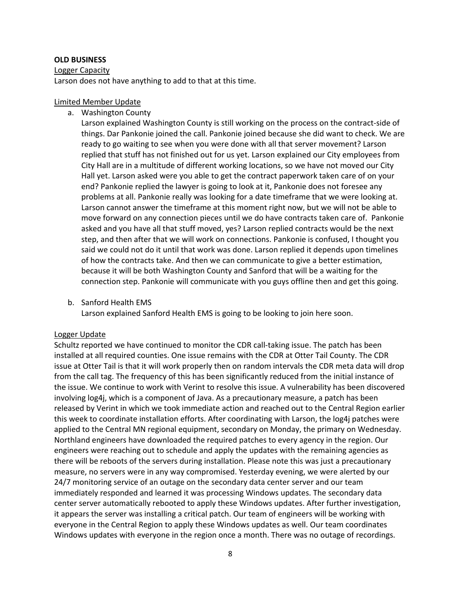#### **OLD BUSINESS**

#### Logger Capacity

Larson does not have anything to add to that at this time.

#### Limited Member Update

a. Washington County

Larson explained Washington County is still working on the process on the contract-side of things. Dar Pankonie joined the call. Pankonie joined because she did want to check. We are ready to go waiting to see when you were done with all that server movement? Larson replied that stuff has not finished out for us yet. Larson explained our City employees from City Hall are in a multitude of different working locations, so we have not moved our City Hall yet. Larson asked were you able to get the contract paperwork taken care of on your end? Pankonie replied the lawyer is going to look at it, Pankonie does not foresee any problems at all. Pankonie really was looking for a date timeframe that we were looking at. Larson cannot answer the timeframe at this moment right now, but we will not be able to move forward on any connection pieces until we do have contracts taken care of. Pankonie asked and you have all that stuff moved, yes? Larson replied contracts would be the next step, and then after that we will work on connections. Pankonie is confused, I thought you said we could not do it until that work was done. Larson replied it depends upon timelines of how the contracts take. And then we can communicate to give a better estimation, because it will be both Washington County and Sanford that will be a waiting for the connection step. Pankonie will communicate with you guys offline then and get this going.

b. Sanford Health EMS

Larson explained Sanford Health EMS is going to be looking to join here soon.

## Logger Update

Schultz reported we have continued to monitor the CDR call-taking issue. The patch has been installed at all required counties. One issue remains with the CDR at Otter Tail County. The CDR issue at Otter Tail is that it will work properly then on random intervals the CDR meta data will drop from the call tag. The frequency of this has been significantly reduced from the initial instance of the issue. We continue to work with Verint to resolve this issue. A vulnerability has been discovered involving log4j, which is a component of Java. As a precautionary measure, a patch has been released by Verint in which we took immediate action and reached out to the Central Region earlier this week to coordinate installation efforts. After coordinating with Larson, the log4j patches were applied to the Central MN regional equipment, secondary on Monday, the primary on Wednesday. Northland engineers have downloaded the required patches to every agency in the region. Our engineers were reaching out to schedule and apply the updates with the remaining agencies as there will be reboots of the servers during installation. Please note this was just a precautionary measure, no servers were in any way compromised. Yesterday evening, we were alerted by our 24/7 monitoring service of an outage on the secondary data center server and our team immediately responded and learned it was processing Windows updates. The secondary data center server automatically rebooted to apply these Windows updates. After further investigation, it appears the server was installing a critical patch. Our team of engineers will be working with everyone in the Central Region to apply these Windows updates as well. Our team coordinates Windows updates with everyone in the region once a month. There was no outage of recordings.